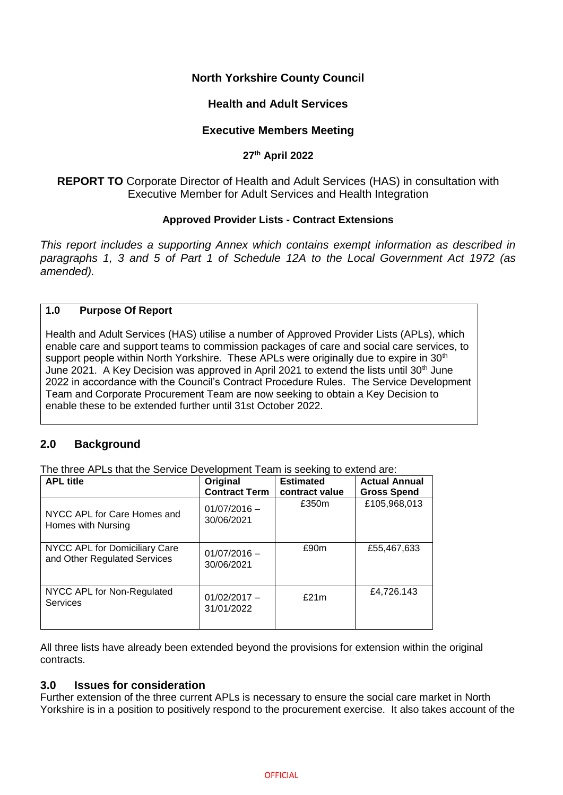# **North Yorkshire County Council**

## **Health and Adult Services**

## **Executive Members Meeting**

### **27th April 2022**

**REPORT TO** Corporate Director of Health and Adult Services (HAS) in consultation with Executive Member for Adult Services and Health Integration

### **Approved Provider Lists - Contract Extensions**

*This report includes a supporting Annex which contains exempt information as described in paragraphs 1, 3 and 5 of Part 1 of Schedule 12A to the Local Government Act 1972 (as amended).*

#### **1.0 Purpose Of Report**

Health and Adult Services (HAS) utilise a number of Approved Provider Lists (APLs), which enable care and support teams to commission packages of care and social care services, to support people within North Yorkshire. These APLs were originally due to expire in 30<sup>th</sup> June 2021. A Key Decision was approved in April 2021 to extend the lists until 30<sup>th</sup> June 2022 in accordance with the Council's Contract Procedure Rules. The Service Development Team and Corporate Procurement Team are now seeking to obtain a Key Decision to enable these to be extended further until 31st October 2022.

# **2.0 Background**

The three APLs that the Service Development Team is seeking to extend are:

| <b>APL title</b>                                              | Original<br><b>Contract Term</b> | <b>Estimated</b><br>contract value | <b>Actual Annual</b><br><b>Gross Spend</b> |
|---------------------------------------------------------------|----------------------------------|------------------------------------|--------------------------------------------|
| NYCC APL for Care Homes and<br>Homes with Nursing             | $01/07/2016 -$<br>30/06/2021     | £350m                              | £105,968,013                               |
| NYCC APL for Domiciliary Care<br>and Other Regulated Services | $01/07/2016 -$<br>30/06/2021     | £90m                               | £55,467,633                                |
| NYCC APL for Non-Regulated<br>Services                        | $01/02/2017 -$<br>31/01/2022     | £21m                               | £4,726.143                                 |

All three lists have already been extended beyond the provisions for extension within the original contracts.

## **3.0 Issues for consideration**

Further extension of the three current APLs is necessary to ensure the social care market in North Yorkshire is in a position to positively respond to the procurement exercise. It also takes account of the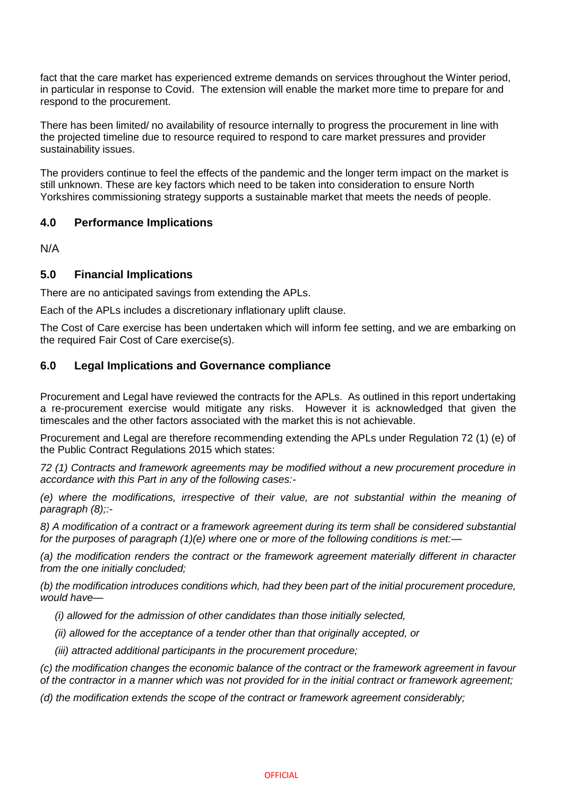fact that the care market has experienced extreme demands on services throughout the Winter period, in particular in response to Covid. The extension will enable the market more time to prepare for and respond to the procurement.

There has been limited/ no availability of resource internally to progress the procurement in line with the projected timeline due to resource required to respond to care market pressures and provider sustainability issues.

The providers continue to feel the effects of the pandemic and the longer term impact on the market is still unknown. These are key factors which need to be taken into consideration to ensure North Yorkshires commissioning strategy supports a sustainable market that meets the needs of people.

# **4.0 Performance Implications**

N/A

# **5.0 Financial Implications**

There are no anticipated savings from extending the APLs.

Each of the APLs includes a discretionary inflationary uplift clause.

The Cost of Care exercise has been undertaken which will inform fee setting, and we are embarking on the required Fair Cost of Care exercise(s).

## **6.0 Legal Implications and Governance compliance**

Procurement and Legal have reviewed the contracts for the APLs. As outlined in this report undertaking a re-procurement exercise would mitigate any risks. However it is acknowledged that given the timescales and the other factors associated with the market this is not achievable.

Procurement and Legal are therefore recommending extending the APLs under Regulation 72 (1) (e) of the Public Contract Regulations 2015 which states:

*72 (1) Contracts and framework agreements may be modified without a new procurement procedure in accordance with this Part in any of the following cases:-*

*(e) where the modifications, irrespective of their value, are not substantial within the meaning of paragraph (8);:-*

*8) A modification of a contract or a framework agreement during its term shall be considered substantial for the purposes of paragraph (1)(e) where one or more of the following conditions is met:—*

*(a) the modification renders the contract or the framework agreement materially different in character from the one initially concluded;*

*(b) the modification introduces conditions which, had they been part of the initial procurement procedure, would have—*

 *(i) allowed for the admission of other candidates than those initially selected,*

 *(ii) allowed for the acceptance of a tender other than that originally accepted, or*

 *(iii) attracted additional participants in the procurement procedure;*

*(c) the modification changes the economic balance of the contract or the framework agreement in favour of the contractor in a manner which was not provided for in the initial contract or framework agreement;*

*(d) the modification extends the scope of the contract or framework agreement considerably;*